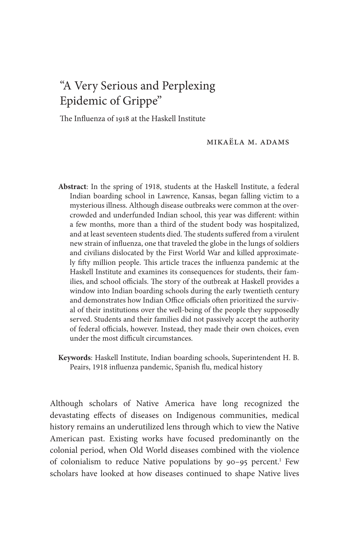## "A Very Serious and Perplexing Epidemic of Grippe"

The Influenza of 1918 at the Haskell Institute

Mikaëla M. Adams

- **Abstract**: In the spring of 1918, students at the Haskell Institute, a federal Indian boarding school in Lawrence, Kansas, began falling victim to a mysterious illness. Although disease outbreaks were common at the overcrowded and underfunded Indian school, this year was different: within a few months, more than a third of the student body was hospitalized, and at least seventeen students died. The students suffered from a virulent new strain of influenza, one that traveled the globe in the lungs of soldiers and civilians dislocated by the First World War and killed approximately fifty million people. This article traces the influenza pandemic at the Haskell Institute and examines its consequences for students, their families, and school officials. The story of the outbreak at Haskell provides a window into Indian boarding schools during the early twentieth century and demonstrates how Indian Office officials often prioritized the survival of their institutions over the well-being of the people they supposedly served. Students and their families did not passively accept the authority of federal officials, however. Instead, they made their own choices, even under the most difficult circumstances
- **Keywords**: Haskell Institute, Indian boarding schools, Superintendent H. B. Peairs, 1918 influenza pandemic, Spanish flu, medical history

Although scholars of Native America have long recognized the devastating effects of diseases on Indigenous communities, medical history remains an underutilized lens through which to view the Native American past. Existing works have focused predominantly on the colonial period, when Old World diseases combined with the violence of colonialism to reduce Native populations by 90-95 percent.<sup>1</sup> Few scholars have looked at how diseases continued to shape Native lives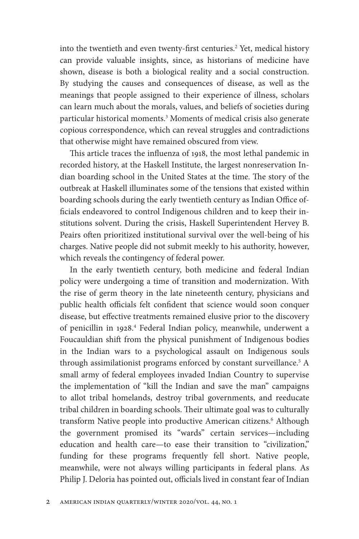into the twentieth and even twenty-first centuries.<sup>2</sup> Yet, medical history can provide valuable insights, since, as historians of medicine have shown, disease is both a biological reality and a social construction. By studying the causes and consequences of disease, as well as the meanings that people assigned to their experience of illness, scholars can learn much about the morals, values, and beliefs of societies during particular historical moments.3 Moments of medical crisis also generate copious correspondence, which can reveal struggles and contradictions that otherwise might have remained obscured from view.

This article traces the influenza of 1918, the most lethal pandemic in recorded history, at the Haskell Institute, the largest nonreservation Indian boarding school in the United States at the time. The story of the outbreak at Haskell illuminates some of the tensions that existed within boarding schools during the early twentieth century as Indian Office officials endeavored to control Indigenous children and to keep their institutions solvent. During the crisis, Haskell Superintendent Hervey B. Peairs often prioritized institutional survival over the well-being of his charges. Native people did not submit meekly to his authority, however, which reveals the contingency of federal power.

In the early twentieth century, both medicine and federal Indian policy were undergoing a time of transition and modernization. With the rise of germ theory in the late nineteenth century, physicians and public health officials felt confident that science would soon conquer disease, but effective treatments remained elusive prior to the discovery of penicillin in 1928.<sup>4</sup> Federal Indian policy, meanwhile, underwent a Foucauldian shift from the physical punishment of Indigenous bodies in the Indian wars to a psychological assault on Indigenous souls through assimilationist programs enforced by constant surveillance.<sup>5</sup> A small army of federal employees invaded Indian Country to supervise the implementation of "kill the Indian and save the man" campaigns to allot tribal homelands, destroy tribal governments, and reeducate tribal children in boarding schools. Their ultimate goal was to culturally transform Native people into productive American citizens.<sup>6</sup> Although the government promised its "wards" certain services— including education and health care— to ease their transition to "civilization," funding for these programs frequently fell short. Native people, meanwhile, were not always willing participants in federal plans. As Philip J. Deloria has pointed out, officials lived in constant fear of Indian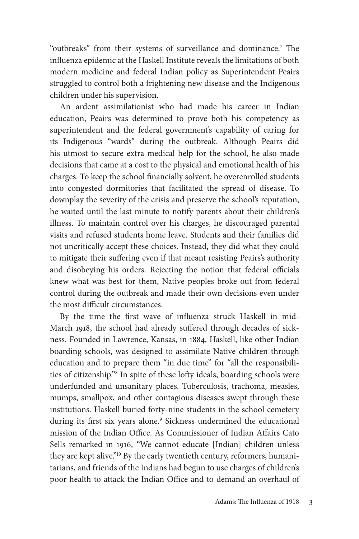"outbreaks" from their systems of surveillance and dominance.<sup>7</sup> The influenza epidemic at the Haskell Institute reveals the limitations of both modern medicine and federal Indian policy as Superintendent Peairs struggled to control both a frightening new disease and the Indigenous children under his supervision.

An ardent assimilationist who had made his career in Indian education, Peairs was determined to prove both his competency as superintendent and the federal government's capability of caring for its Indigenous "wards" during the outbreak. Although Peairs did his utmost to secure extra medical help for the school, he also made decisions that came at a cost to the physical and emotional health of his charges. To keep the school financially solvent, he overenrolled students into congested dormitories that facilitated the spread of disease. To downplay the severity of the crisis and preserve the school's reputation, he waited until the last minute to notify parents about their children's illness. To maintain control over his charges, he discouraged parental visits and refused students home leave. Students and their families did not uncritically accept these choices. Instead, they did what they could to mitigate their suffering even if that meant resisting Peairs's authority and disobeying his orders. Rejecting the notion that federal officials knew what was best for them, Native peoples broke out from federal control during the outbreak and made their own decisions even under the most difficult circumstances.

By the time the first wave of influenza struck Haskell in mid-March 1918, the school had already suffered through decades of sickness. Founded in Lawrence, Kansas, in 1884, Haskell, like other Indian boarding schools, was designed to assimilate Native children through education and to prepare them "in due time" for "all the responsibilities of citizenship."<sup>8</sup> In spite of these lofty ideals, boarding schools were underfunded and unsanitary places. Tuberculosis, trachoma, measles, mumps, smallpox, and other contagious diseases swept through these institutions. Haskell buried forty-nine students in the school cemetery during its first six years alone.<sup>9</sup> Sickness undermined the educational mission of the Indian Office. As Commissioner of Indian Affairs Cato Sells remarked in 1916, "We cannot educate [Indian] children unless they are kept alive."<sup>10</sup> By the early twentieth century, reformers, humanitarians, and friends of the Indians had begun to use charges of children's poor health to attack the Indian Office and to demand an overhaul of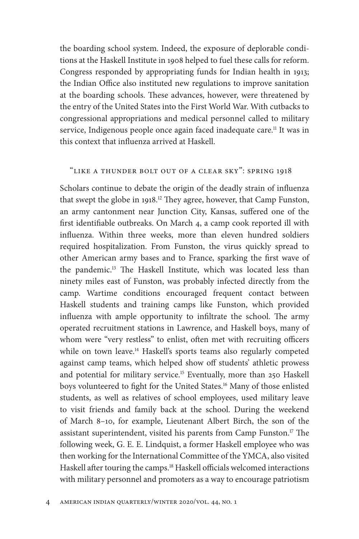the boarding school system. Indeed, the exposure of deplorable conditions at the Haskell Institute in 1908 helped to fuel these calls for reform. Congress responded by appropriating funds for Indian health in 1913; the Indian Office also instituted new regulations to improve sanitation at the boarding schools. These advances, however, were threatened by the entry of the United States into the First World War. With cutbacks to congressional appropriations and medical personnel called to military service, Indigenous people once again faced inadequate care.<sup>11</sup> It was in this context that influenza arrived at Haskell.

## "Like a Thunder Bolt out of a Clear Sky": Spring 1918

Scholars continue to debate the origin of the deadly strain of influenza that swept the globe in 1918.<sup>12</sup> They agree, however, that Camp Funston, an army cantonment near Junction City, Kansas, suffered one of the first identifiable outbreaks. On March 4, a camp cook reported ill with influenza. Within three weeks, more than eleven hundred soldiers required hospitalization. From Funston, the virus quickly spread to other American army bases and to France, sparking the first wave of the pandemic.<sup>13</sup> The Haskell Institute, which was located less than ninety miles east of Funston, was probably infected directly from the camp. Wartime conditions encouraged frequent contact between Haskell students and training camps like Funston, which provided influenza with ample opportunity to infiltrate the school. The army operated recruitment stations in Lawrence, and Haskell boys, many of whom were "very restless" to enlist, often met with recruiting officers while on town leave.<sup>14</sup> Haskell's sports teams also regularly competed against camp teams, which helped show off students' athletic prowess and potential for military service.<sup>15</sup> Eventually, more than 250 Haskell boys volunteered to fight for the United States.<sup>16</sup> Many of those enlisted students, as well as relatives of school employees, used military leave to visit friends and family back at the school. During the weekend of March 8– 10, for example, Lieutenant Albert Birch, the son of the assistant superintendent, visited his parents from Camp Funston.<sup>17</sup> The following week, G. E. E. Lindquist, a former Haskell employee who was then working for the International Committee of the YMCA, also visited Haskell after touring the camps.<sup>18</sup> Haskell officials welcomed interactions with military personnel and promoters as a way to encourage patriotism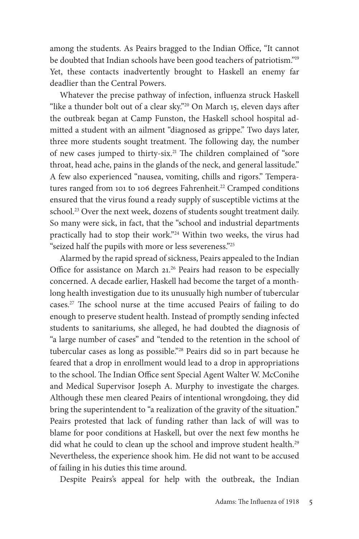among the students. As Peairs bragged to the Indian Office, "It cannot be doubted that Indian schools have been good teachers of patriotism."19 Yet, these contacts inadvertently brought to Haskell an enemy far deadlier than the Central Powers.

Whatever the precise pathway of infection, influenza struck Haskell "like a thunder bolt out of a clear sky."<sup>20</sup> On March 15, eleven days after the outbreak began at Camp Funston, the Haskell school hospital admitted a student with an ailment "diagnosed as grippe." Two days later, three more students sought treatment. The following day, the number of new cases jumped to thirty-six.<sup>21</sup> The children complained of "sore throat, head ache, pains in the glands of the neck, and general lassitude." A few also experienced "nausea, vomiting, chills and rigors." Temperatures ranged from 101 to 106 degrees Fahrenheit.<sup>22</sup> Cramped conditions ensured that the virus found a ready supply of susceptible victims at the school.<sup>23</sup> Over the next week, dozens of students sought treatment daily. So many were sick, in fact, that the "school and industrial departments practically had to stop their work."24 Within two weeks, the virus had "seized half the pupils with more or less severeness."25

Alarmed by the rapid spread of sickness, Peairs appealed to the Indian Office for assistance on March  $21.26$  Peairs had reason to be especially concerned. A decade earlier, Haskell had become the target of a monthlong health investigation due to its unusually high number of tubercular cases.<sup>27</sup> The school nurse at the time accused Peairs of failing to do enough to preserve student health. Instead of promptly sending infected students to sanitariums, she alleged, he had doubted the diagnosis of "a large number of cases" and "tended to the retention in the school of tubercular cases as long as possible."28 Peairs did so in part because he feared that a drop in enrollment would lead to a drop in appropriations to the school. The Indian Office sent Special Agent Walter W. McConihe and Medical Supervisor Joseph A. Murphy to investigate the charges. Although these men cleared Peairs of intentional wrongdoing, they did bring the superintendent to "a realization of the gravity of the situation." Peairs protested that lack of funding rather than lack of will was to blame for poor conditions at Haskell, but over the next few months he did what he could to clean up the school and improve student health.<sup>29</sup> Nevertheless, the experience shook him. He did not want to be accused of failing in his duties this time around.

Despite Peairs's appeal for help with the outbreak, the Indian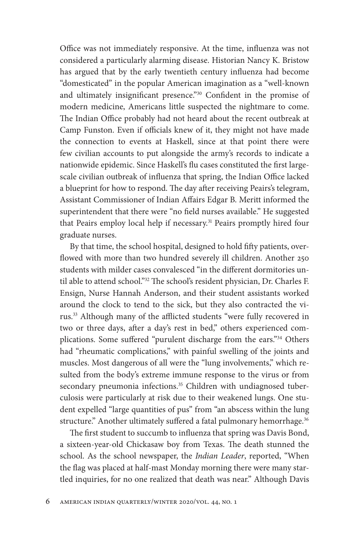Office was not immediately responsive. At the time, influenza was not considered a particularly alarming disease. Historian Nancy K. Bristow has argued that by the early twentieth century influenza had become "domesticated" in the popular American imagination as a "well- known and ultimately insignificant presence."<sup>30</sup> Confident in the promise of modern medicine, Americans little suspected the nightmare to come. The Indian Office probably had not heard about the recent outbreak at Camp Funston. Even if officials knew of it, they might not have made the connection to events at Haskell, since at that point there were few civilian accounts to put alongside the army's records to indicate a nationwide epidemic. Since Haskell's flu cases constituted the first largescale civilian outbreak of influenza that spring, the Indian Office lacked a blueprint for how to respond. The day after receiving Peairs's telegram, Assistant Commissioner of Indian Affairs Edgar B. Meritt informed the superintendent that there were "no field nurses available." He suggested that Peairs employ local help if necessary.<sup>31</sup> Peairs promptly hired four graduate nurses.

By that time, the school hospital, designed to hold fifty patients, overflowed with more than two hundred severely ill children. Another 250 students with milder cases convalesced "in the different dormitories until able to attend school."<sup>32</sup> The school's resident physician, Dr. Charles F. Ensign, Nurse Hannah Anderson, and their student assistants worked around the clock to tend to the sick, but they also contracted the virus.<sup>33</sup> Although many of the afflicted students "were fully recovered in two or three days, after a day's rest in bed," others experienced complications. Some suffered "purulent discharge from the ears."<sup>34</sup> Others had "rheumatic complications," with painful swelling of the joints and muscles. Most dangerous of all were the "lung involvements," which resulted from the body's extreme immune response to the virus or from secondary pneumonia infections.<sup>35</sup> Children with undiagnosed tuberculosis were particularly at risk due to their weakened lungs. One student expelled "large quantities of pus" from "an abscess within the lung structure." Another ultimately suffered a fatal pulmonary hemorrhage.<sup>36</sup>

The first student to succumb to influenza that spring was Davis Bond, a sixteen-year-old Chickasaw boy from Texas. The death stunned the school. As the school newspaper, the *Indian Leader*, reported, "When the flag was placed at half-mast Monday morning there were many startled inquiries, for no one realized that death was near." Although Davis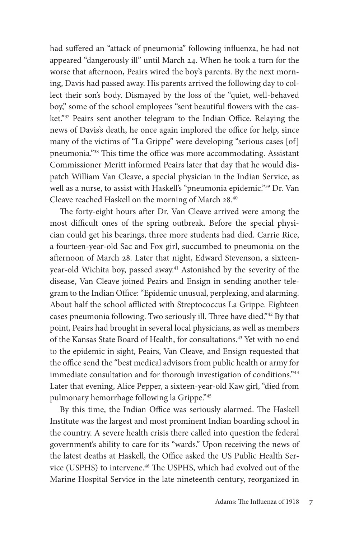had suffered an "attack of pneumonia" following influenza, he had not appeared "dangerously ill" until March 24. When he took a turn for the worse that afternoon, Peairs wired the boy's parents. By the next morning, Davis had passed away. His parents arrived the following day to collect their son's body. Dismayed by the loss of the "quiet, well- behaved boy," some of the school employees "sent beautiful flowers with the casket."37 Peairs sent another telegram to the Indian Office. Relaying the news of Davis's death, he once again implored the office for help, since many of the victims of "La Grippe" were developing "serious cases [of] pneumonia."<sup>38</sup> This time the office was more accommodating. Assistant Commissioner Meritt informed Peairs later that day that he would dispatch William Van Cleave, a special physician in the Indian Service, as well as a nurse, to assist with Haskell's "pneumonia epidemic."39 Dr. Van Cleave reached Haskell on the morning of March 28.40

The forty-eight hours after Dr. Van Cleave arrived were among the most difficult ones of the spring outbreak. Before the special physician could get his bearings, three more students had died. Carrie Rice, a fourteen- year- old Sac and Fox girl, succumbed to pneumonia on the afternoon of March 28. Later that night, Edward Stevenson, a sixteenyear-old Wichita boy, passed away.<sup>41</sup> Astonished by the severity of the disease, Van Cleave joined Peairs and Ensign in sending another telegram to the Indian Office: "Epidemic unusual, perplexing, and alarming. About half the school afflicted with Streptococcus La Grippe. Eighteen cases pneumonia following. Two seriously ill. Three have died."<sup>42</sup> By that point, Peairs had brought in several local physicians, as well as members of the Kansas State Board of Health, for consultations.<sup>43</sup> Yet with no end to the epidemic in sight, Peairs, Van Cleave, and Ensign requested that the office send the "best medical advisors from public health or army for immediate consultation and for thorough investigation of conditions."44 Later that evening, Alice Pepper, a sixteen- year- old Kaw girl, "died from pulmonary hemorrhage following la Grippe."45

By this time, the Indian Office was seriously alarmed. The Haskell Institute was the largest and most prominent Indian boarding school in the country. A severe health crisis there called into question the federal government's ability to care for its "wards." Upon receiving the news of the latest deaths at Haskell, the Office asked the US Public Health Service (USPHS) to intervene.<sup>46</sup> The USPHS, which had evolved out of the Marine Hospital Service in the late nineteenth century, reorganized in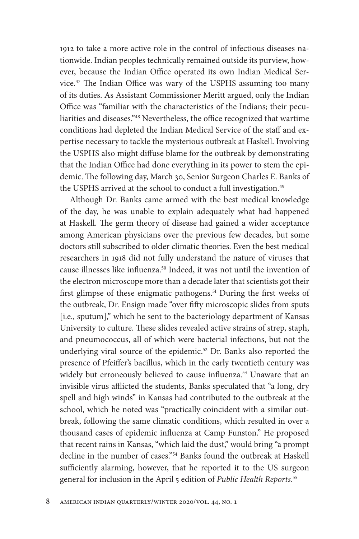1912 to take a more active role in the control of infectious diseases nationwide. Indian peoples technically remained outside its purview, however, because the Indian Office operated its own Indian Medical Service.<sup>47</sup> The Indian Office was wary of the USPHS assuming too many of its duties. As Assistant Commissioner Meritt argued, only the Indian Office was "familiar with the characteristics of the Indians; their peculiarities and diseases."<sup>48</sup> Nevertheless, the office recognized that wartime conditions had depleted the Indian Medical Service of the staff and expertise necessary to tackle the mysterious outbreak at Haskell. Involving the USPHS also might diffuse blame for the outbreak by demonstrating that the Indian Office had done everything in its power to stem the epidemic. The following day, March 30, Senior Surgeon Charles E. Banks of the USPHS arrived at the school to conduct a full investigation.<sup>49</sup>

Although Dr. Banks came armed with the best medical knowledge of the day, he was unable to explain adequately what had happened at Haskell. The germ theory of disease had gained a wider acceptance among American physicians over the previous few decades, but some doctors still subscribed to older climatic theories. Even the best medical researchers in 1918 did not fully understand the nature of viruses that cause illnesses like influenza.<sup>50</sup> Indeed, it was not until the invention of the electron microscope more than a decade later that scientists got their first glimpse of these enigmatic pathogens.<sup>51</sup> During the first weeks of the outbreak, Dr. Ensign made "over fifty microscopic slides from sputs [i.e., sputum]," which he sent to the bacteriology department of Kansas University to culture. These slides revealed active strains of strep, staph, and pneumococcus, all of which were bacterial infections, but not the underlying viral source of the epidemic.<sup>52</sup> Dr. Banks also reported the presence of Pfeiffer's bacillus, which in the early twentieth century was widely but erroneously believed to cause influenza.<sup>53</sup> Unaware that an invisible virus afflicted the students, Banks speculated that "a long, dry spell and high winds" in Kansas had contributed to the outbreak at the school, which he noted was "practically coincident with a similar outbreak, following the same climatic conditions, which resulted in over a thousand cases of epidemic influenza at Camp Funston." He proposed that recent rains in Kansas, "which laid the dust," would bring "a prompt decline in the number of cases."54 Banks found the outbreak at Haskell sufficiently alarming, however, that he reported it to the US surgeon general for inclusion in the April 5 edition of *Public Health Reports*. 55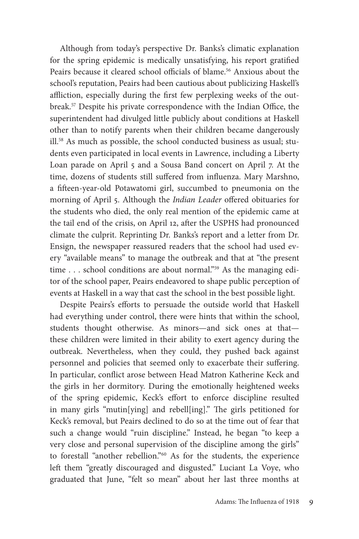Although from today's perspective Dr. Banks's climatic explanation for the spring epidemic is medically unsatisfying, his report gratified Peairs because it cleared school officials of blame.<sup>56</sup> Anxious about the school's reputation, Peairs had been cautious about publicizing Haskell's affliction, especially during the first few perplexing weeks of the outbreak.<sup>57</sup> Despite his private correspondence with the Indian Office, the superintendent had divulged little publicly about conditions at Haskell other than to notify parents when their children became dangerously ill.58 As much as possible, the school conducted business as usual; students even participated in local events in Lawrence, including a Liberty Loan parade on April 5 and a Sousa Band concert on April 7. At the time, dozens of students still suffered from influenza. Mary Marshno, a fifteen-year-old Potawatomi girl, succumbed to pneumonia on the morning of April 5. Although the *Indian Leader* offered obituaries for the students who died, the only real mention of the epidemic came at the tail end of the crisis, on April 12, after the USPHS had pronounced climate the culprit. Reprinting Dr. Banks's report and a letter from Dr. Ensign, the newspaper reassured readers that the school had used every "available means" to manage the outbreak and that at "the present time . . . school conditions are about normal."<sup>59</sup> As the managing editor of the school paper, Peairs endeavored to shape public perception of events at Haskell in a way that cast the school in the best possible light.

Despite Peairs's efforts to persuade the outside world that Haskell had everything under control, there were hints that within the school, students thought otherwise. As minors— and sick ones at that these children were limited in their ability to exert agency during the outbreak. Nevertheless, when they could, they pushed back against personnel and policies that seemed only to exacerbate their suffering. In particular, conflict arose between Head Matron Katherine Keck and the girls in her dormitory. During the emotionally heightened weeks of the spring epidemic, Keck's effort to enforce discipline resulted in many girls "mutin[ying] and rebell[ing]." The girls petitioned for Keck's removal, but Peairs declined to do so at the time out of fear that such a change would "ruin discipline." Instead, he began "to keep a very close and personal supervision of the discipline among the girls" to forestall "another rebellion."60 As for the students, the experience left them "greatly discouraged and disgusted." Luciant La Voye, who graduated that June, "felt so mean" about her last three months at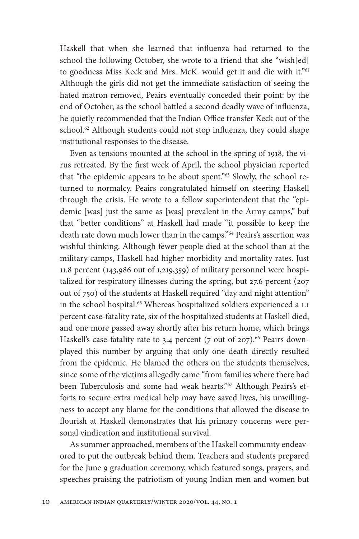Haskell that when she learned that influenza had returned to the school the following October, she wrote to a friend that she "wish[ed] to goodness Miss Keck and Mrs. McK. would get it and die with it."<sup>61</sup> Although the girls did not get the immediate satisfaction of seeing the hated matron removed, Peairs eventually conceded their point: by the end of October, as the school battled a second deadly wave of influenza, he quietly recommended that the Indian Office transfer Keck out of the school.<sup>62</sup> Although students could not stop influenza, they could shape institutional responses to the disease.

Even as tensions mounted at the school in the spring of 1918, the virus retreated. By the first week of April, the school physician reported that "the epidemic appears to be about spent."<sup>63</sup> Slowly, the school returned to normalcy. Peairs congratulated himself on steering Haskell through the crisis. He wrote to a fellow superintendent that the "epidemic [was] just the same as [was] prevalent in the Army camps," but that "better conditions" at Haskell had made "it possible to keep the death rate down much lower than in the camps."64 Peairs's assertion was wishful thinking. Although fewer people died at the school than at the military camps, Haskell had higher morbidity and mortality rates. Just 11.8 percent (143,986 out of 1,219,359) of military personnel were hospitalized for respiratory illnesses during the spring, but 27.6 percent (207 out of 750) of the students at Haskell required "day and night attention" in the school hospital.<sup>65</sup> Whereas hospitalized soldiers experienced a 1.1 percent case- fatality rate, six of the hospitalized students at Haskell died, and one more passed away shortly after his return home, which brings Haskell's case-fatality rate to 3.4 percent (7 out of 207).<sup>66</sup> Peairs downplayed this number by arguing that only one death directly resulted from the epidemic. He blamed the others on the students themselves, since some of the victims allegedly came "from families where there had been Tuberculosis and some had weak hearts."<sup>67</sup> Although Peairs's efforts to secure extra medical help may have saved lives, his unwillingness to accept any blame for the conditions that allowed the disease to flourish at Haskell demonstrates that his primary concerns were personal vindication and institutional survival.

As summer approached, members of the Haskell community endeavored to put the outbreak behind them. Teachers and students prepared for the June 9 graduation ceremony, which featured songs, prayers, and speeches praising the patriotism of young Indian men and women but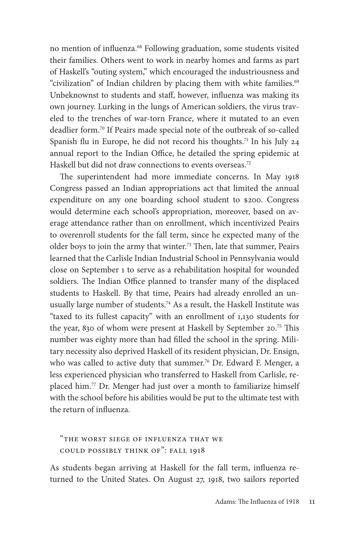no mention of influenza.<sup>68</sup> Following graduation, some students visited their families. Others went to work in nearby homes and farms as part of Haskell's "outing system," which encouraged the industriousness and "civilization" of Indian children by placing them with white families.<sup>69</sup> Unbeknownst to students and staff, however, influenza was making its own journey. Lurking in the lungs of American soldiers, the virus traveled to the trenches of war- torn France, where it mutated to an even deadlier form.<sup>70</sup> If Peairs made special note of the outbreak of so-called Spanish flu in Europe, he did not record his thoughts.<sup>71</sup> In his July 24 annual report to the Indian Office, he detailed the spring epidemic at Haskell but did not draw connections to events overseas.<sup>72</sup>

The superintendent had more immediate concerns. In May 1918 Congress passed an Indian appropriations act that limited the annual expenditure on any one boarding school student to \$200. Congress would determine each school's appropriation, moreover, based on average attendance rather than on enrollment, which incentivized Peairs to overenroll students for the fall term, since he expected many of the older boys to join the army that winter.<sup>73</sup> Then, late that summer, Peairs learned that the Carlisle Indian Industrial School in Pennsylvania would close on September 1 to serve as a rehabilitation hospital for wounded soldiers. The Indian Office planned to transfer many of the displaced students to Haskell. By that time, Peairs had already enrolled an unusually large number of students.<sup>74</sup> As a result, the Haskell Institute was "taxed to its fullest capacity" with an enrollment of 1,130 students for the year, 830 of whom were present at Haskell by September 20.<sup>75</sup> This number was eighty more than had filled the school in the spring. Military necessity also deprived Haskell of its resident physician, Dr. Ensign, who was called to active duty that summer.<sup>76</sup> Dr. Edward F. Menger, a less experienced physician who transferred to Haskell from Carlisle, replaced him.77 Dr. Menger had just over a month to familiarize himself with the school before his abilities would be put to the ultimate test with the return of influenza.

"The Worst Siege of Influenza That We Could Possibly Think of": Fall 1918

As students began arriving at Haskell for the fall term, influenza returned to the United States. On August 27, 1918, two sailors reported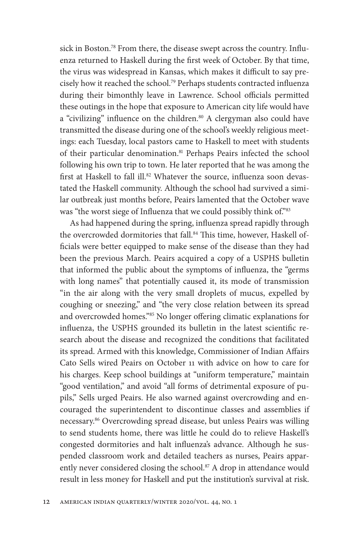sick in Boston.<sup>78</sup> From there, the disease swept across the country. Influenza returned to Haskell during the first week of October. By that time, the virus was widespread in Kansas, which makes it difficult to say precisely how it reached the school.<sup>79</sup> Perhaps students contracted influenza during their bimonthly leave in Lawrence. School officials permitted these outings in the hope that exposure to American city life would have a "civilizing" influence on the children.<sup>80</sup> A clergyman also could have transmitted the disease during one of the school's weekly religious meetings: each Tuesday, local pastors came to Haskell to meet with students of their particular denomination.<sup>81</sup> Perhaps Peairs infected the school following his own trip to town. He later reported that he was among the first at Haskell to fall ill.<sup>82</sup> Whatever the source, influenza soon devastated the Haskell community. Although the school had survived a similar outbreak just months before, Peairs lamented that the October wave was "the worst siege of Influenza that we could possibly think of."83

As had happened during the spring, influenza spread rapidly through the overcrowded dormitories that fall.<sup>84</sup> This time, however, Haskell officials were better equipped to make sense of the disease than they had been the previous March. Peairs acquired a copy of a USPHS bulletin that informed the public about the symptoms of influenza, the "germs with long names" that potentially caused it, its mode of transmission "in the air along with the very small droplets of mucus, expelled by coughing or sneezing," and "the very close relation between its spread and overcrowded homes."85 No longer offering climatic explanations for influenza, the USPHS grounded its bulletin in the latest scientific research about the disease and recognized the conditions that facilitated its spread. Armed with this knowledge, Commissioner of Indian Affairs Cato Sells wired Peairs on October 11 with advice on how to care for his charges. Keep school buildings at "uniform temperature," maintain "good ventilation," and avoid "all forms of detrimental exposure of pupils," Sells urged Peairs. He also warned against overcrowding and encouraged the superintendent to discontinue classes and assemblies if necessary.86 Overcrowding spread disease, but unless Peairs was willing to send students home, there was little he could do to relieve Haskell's congested dormitories and halt influenza's advance. Although he suspended classroom work and detailed teachers as nurses, Peairs apparently never considered closing the school.<sup>87</sup> A drop in attendance would result in less money for Haskell and put the institution's survival at risk.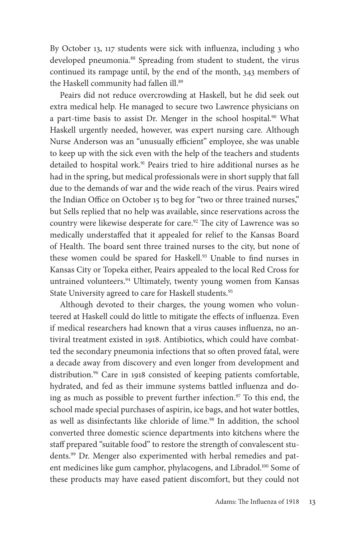By October 13, 117 students were sick with influenza, including 3 who developed pneumonia.<sup>88</sup> Spreading from student to student, the virus continued its rampage until, by the end of the month, 343 members of the Haskell community had fallen ill.<sup>89</sup>

Peairs did not reduce overcrowding at Haskell, but he did seek out extra medical help. He managed to secure two Lawrence physicians on a part-time basis to assist Dr. Menger in the school hospital.<sup>90</sup> What Haskell urgently needed, however, was expert nursing care. Although Nurse Anderson was an "unusually efficient" employee, she was unable to keep up with the sick even with the help of the teachers and students detailed to hospital work.<sup>91</sup> Peairs tried to hire additional nurses as he had in the spring, but medical professionals were in short supply that fall due to the demands of war and the wide reach of the virus. Peairs wired the Indian Office on October 15 to beg for "two or three trained nurses," but Sells replied that no help was available, since reservations across the country were likewise desperate for care.<sup>92</sup> The city of Lawrence was so medically understaffed that it appealed for relief to the Kansas Board of Health. The board sent three trained nurses to the city, but none of these women could be spared for Haskell.<sup>93</sup> Unable to find nurses in Kansas City or Topeka either, Peairs appealed to the local Red Cross for untrained volunteers.<sup>94</sup> Ultimately, twenty young women from Kansas State University agreed to care for Haskell students.<sup>95</sup>

Although devoted to their charges, the young women who volunteered at Haskell could do little to mitigate the effects of influenza. Even if medical researchers had known that a virus causes influenza, no antiviral treatment existed in 1918. Antibiotics, which could have combatted the secondary pneumonia infections that so often proved fatal, were a decade away from discovery and even longer from development and distribution.<sup>96</sup> Care in 1918 consisted of keeping patients comfortable, hydrated, and fed as their immune systems battled influenza and doing as much as possible to prevent further infection.<sup>97</sup> To this end, the school made special purchases of aspirin, ice bags, and hot water bottles, as well as disinfectants like chloride of lime.<sup>98</sup> In addition, the school converted three domestic science departments into kitchens where the staff prepared "suitable food" to restore the strength of convalescent students.99 Dr. Menger also experimented with herbal remedies and patent medicines like gum camphor, phylacogens, and Libradol.<sup>100</sup> Some of these products may have eased patient discomfort, but they could not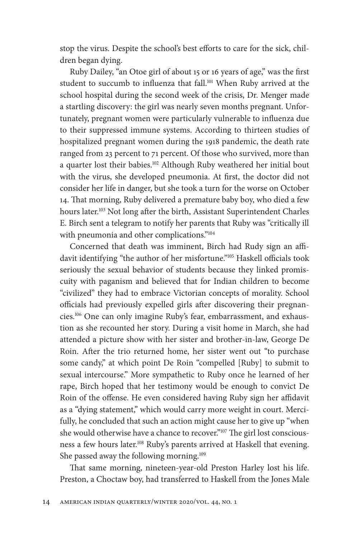stop the virus. Despite the school's best efforts to care for the sick, children began dying.

Ruby Dailey, "an Otoe girl of about 15 or 16 years of age," was the first student to succumb to influenza that fall.<sup>101</sup> When Ruby arrived at the school hospital during the second week of the crisis, Dr. Menger made a startling discovery: the girl was nearly seven months pregnant. Unfortunately, pregnant women were particularly vulnerable to influenza due to their suppressed immune systems. According to thirteen studies of hospitalized pregnant women during the 1918 pandemic, the death rate ranged from 23 percent to 71 percent. Of those who survived, more than a quarter lost their babies.<sup>102</sup> Although Ruby weathered her initial bout with the virus, she developed pneumonia. At first, the doctor did not consider her life in danger, but she took a turn for the worse on October 14. That morning, Ruby delivered a premature baby boy, who died a few hours later.<sup>103</sup> Not long after the birth, Assistant Superintendent Charles E. Birch sent a telegram to notify her parents that Ruby was "critically ill with pneumonia and other complications."<sup>104</sup>

Concerned that death was imminent, Birch had Rudy sign an affidavit identifying "the author of her misfortune."<sup>105</sup> Haskell officials took seriously the sexual behavior of students because they linked promiscuity with paganism and believed that for Indian children to become "civilized" they had to embrace Victorian concepts of morality. School officials had previously expelled girls after discovering their pregnancies.106 One can only imagine Ruby's fear, embarrassment, and exhaustion as she recounted her story. During a visit home in March, she had attended a picture show with her sister and brother-in-law, George De Roin. After the trio returned home, her sister went out "to purchase some candy," at which point De Roin "compelled [Ruby] to submit to sexual intercourse." More sympathetic to Ruby once he learned of her rape, Birch hoped that her testimony would be enough to convict De Roin of the offense. He even considered having Ruby sign her affidavit as a "dying statement," which would carry more weight in court. Mercifully, he concluded that such an action might cause her to give up "when she would otherwise have a chance to recover."<sup>107</sup> The girl lost consciousness a few hours later.<sup>108</sup> Ruby's parents arrived at Haskell that evening. She passed away the following morning.<sup>109</sup>

That same morning, nineteen-year-old Preston Harley lost his life. Preston, a Choctaw boy, had transferred to Haskell from the Jones Male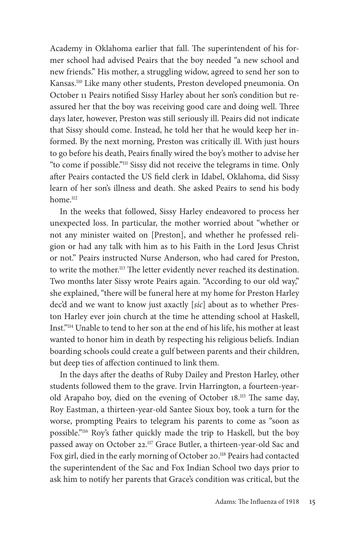Academy in Oklahoma earlier that fall. The superintendent of his former school had advised Peairs that the boy needed "a new school and new friends." His mother, a struggling widow, agreed to send her son to Kansas.110 Like many other students, Preston developed pneumonia. On October 11 Peairs notified Sissy Harley about her son's condition but reassured her that the boy was receiving good care and doing well. Three days later, however, Preston was still seriously ill. Peairs did not indicate that Sissy should come. Instead, he told her that he would keep her informed. By the next morning, Preston was critically ill. With just hours to go before his death, Peairs finally wired the boy's mother to advise her "to come if possible."111 Sissy did not receive the telegrams in time. Only after Peairs contacted the US field clerk in Idabel, Oklahoma, did Sissy learn of her son's illness and death. She asked Peairs to send his body home.<sup>112</sup>

In the weeks that followed, Sissy Harley endeavored to process her unexpected loss. In particular, the mother worried about "whether or not any minister waited on [Preston], and whether he professed religion or had any talk with him as to his Faith in the Lord Jesus Christ or not." Peairs instructed Nurse Anderson, who had cared for Preston, to write the mother.<sup>113</sup> The letter evidently never reached its destination. Two months later Sissy wrote Peairs again. "According to our old way," she explained, "there will be funeral here at my home for Preston Harley dec'd and we want to know just axactly [*sic*] about as to whether Preston Harley ever join church at the time he attending school at Haskell, Inst."114 Unable to tend to her son at the end of his life, his mother at least wanted to honor him in death by respecting his religious beliefs. Indian boarding schools could create a gulf between parents and their children, but deep ties of affection continued to link them.

In the days after the deaths of Ruby Dailey and Preston Harley, other students followed them to the grave. Irvin Harrington, a fourteen- yearold Arapaho boy, died on the evening of October 18.<sup>115</sup> The same day, Roy Eastman, a thirteen- year- old Santee Sioux boy, took a turn for the worse, prompting Peairs to telegram his parents to come as "soon as possible."116 Roy's father quickly made the trip to Haskell, but the boy passed away on October 22.<sup>117</sup> Grace Butler, a thirteen-year-old Sac and Fox girl, died in the early morning of October 20.<sup>118</sup> Peairs had contacted the superintendent of the Sac and Fox Indian School two days prior to ask him to notify her parents that Grace's condition was critical, but the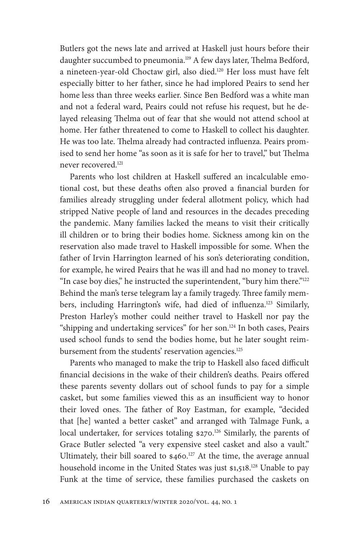Butlers got the news late and arrived at Haskell just hours before their daughter succumbed to pneumonia.<sup>119</sup> A few days later, Thelma Bedford, a nineteen-year-old Choctaw girl, also died.<sup>120</sup> Her loss must have felt especially bitter to her father, since he had implored Peairs to send her home less than three weeks earlier. Since Ben Bedford was a white man and not a federal ward, Peairs could not refuse his request, but he delayed releasing Thelma out of fear that she would not attend school at home. Her father threatened to come to Haskell to collect his daughter. He was too late. Thelma already had contracted influenza. Peairs promised to send her home "as soon as it is safe for her to travel," but Thelma never recovered<sup>121</sup>

Parents who lost children at Haskell suffered an incalculable emotional cost, but these deaths often also proved a financial burden for families already struggling under federal allotment policy, which had stripped Native people of land and resources in the decades preceding the pandemic. Many families lacked the means to visit their critically ill children or to bring their bodies home. Sickness among kin on the reservation also made travel to Haskell impossible for some. When the father of Irvin Harrington learned of his son's deteriorating condition, for example, he wired Peairs that he was ill and had no money to travel. "In case boy dies," he instructed the superintendent, "bury him there."<sup>122</sup> Behind the man's terse telegram lay a family tragedy. Three family members, including Harrington's wife, had died of influenza.<sup>123</sup> Similarly, Preston Harley's mother could neither travel to Haskell nor pay the "shipping and undertaking services" for her son.124 In both cases, Peairs used school funds to send the bodies home, but he later sought reimbursement from the students' reservation agencies.<sup>125</sup>

Parents who managed to make the trip to Haskell also faced difficult financial decisions in the wake of their children's deaths. Peairs offered these parents seventy dollars out of school funds to pay for a simple casket, but some families viewed this as an insufficient way to honor their loved ones. The father of Roy Eastman, for example, "decided that [he] wanted a better casket" and arranged with Talmage Funk, a local undertaker, for services totaling \$270.<sup>126</sup> Similarly, the parents of Grace Butler selected "a very expensive steel casket and also a vault." Ultimately, their bill soared to \$460.<sup>127</sup> At the time, the average annual household income in the United States was just \$1,518.<sup>128</sup> Unable to pay Funk at the time of service, these families purchased the caskets on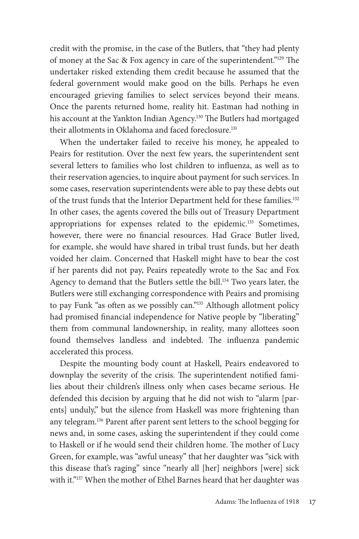credit with the promise, in the case of the Butlers, that "they had plenty of money at the Sac & Fox agency in care of the superintendent." $129$  The undertaker risked extending them credit because he assumed that the federal government would make good on the bills. Perhaps he even encouraged grieving families to select services beyond their means. Once the parents returned home, reality hit. Eastman had nothing in his account at the Yankton Indian Agency.<sup>130</sup> The Butlers had mortgaged their allotments in Oklahoma and faced foreclosure.<sup>131</sup>

When the undertaker failed to receive his money, he appealed to Peairs for restitution. Over the next few years, the superintendent sent several letters to families who lost children to influenza, as well as to their reservation agencies, to inquire about payment for such services. In some cases, reservation superintendents were able to pay these debts out of the trust funds that the Interior Department held for these families.132 In other cases, the agents covered the bills out of Treasury Department appropriations for expenses related to the epidemic.133 Sometimes, however, there were no financial resources. Had Grace Butler lived, for example, she would have shared in tribal trust funds, but her death voided her claim. Concerned that Haskell might have to bear the cost if her parents did not pay, Peairs repeatedly wrote to the Sac and Fox Agency to demand that the Butlers settle the bill.<sup>134</sup> Two years later, the Butlers were still exchanging correspondence with Peairs and promising to pay Funk "as often as we possibly can."<sup>135</sup> Although allotment policy had promised financial independence for Native people by "liberating" them from communal landownership, in reality, many allottees soon found themselves landless and indebted. The influenza pandemic accelerated this process.

Despite the mounting body count at Haskell, Peairs endeavored to downplay the severity of the crisis. The superintendent notified families about their children's illness only when cases became serious. He defended this decision by arguing that he did not wish to "alarm [parents] unduly," but the silence from Haskell was more frightening than any telegram.<sup>136</sup> Parent after parent sent letters to the school begging for news and, in some cases, asking the superintendent if they could come to Haskell or if he would send their children home. The mother of Lucy Green, for example, was "awful uneasy" that her daughter was "sick with this disease that's raging" since "nearly all [her] neighbors [were] sick with it."<sup>137</sup> When the mother of Ethel Barnes heard that her daughter was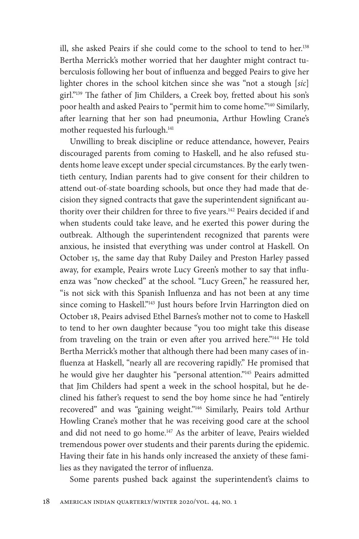ill, she asked Peairs if she could come to the school to tend to her.138 Bertha Merrick's mother worried that her daughter might contract tuberculosis following her bout of influenza and begged Peairs to give her lighter chores in the school kitchen since she was "not a stough [*sic*] girl."<sup>139</sup> The father of Jim Childers, a Creek boy, fretted about his son's poor health and asked Peairs to "permit him to come home."140 Similarly, after learning that her son had pneumonia, Arthur Howling Crane's mother requested his furlough.<sup>141</sup>

Unwilling to break discipline or reduce attendance, however, Peairs discouraged parents from coming to Haskell, and he also refused students home leave except under special circumstances. By the early twentieth century, Indian parents had to give consent for their children to attend out-of-state boarding schools, but once they had made that decision they signed contracts that gave the superintendent significant authority over their children for three to five years.<sup>142</sup> Peairs decided if and when students could take leave, and he exerted this power during the outbreak. Although the superintendent recognized that parents were anxious, he insisted that everything was under control at Haskell. On October 15, the same day that Ruby Dailey and Preston Harley passed away, for example, Peairs wrote Lucy Green's mother to say that influenza was "now checked" at the school. "Lucy Green," he reassured her, "is not sick with this Spanish Influenza and has not been at any time since coming to Haskell."<sup>143</sup> Just hours before Irvin Harrington died on October 18, Peairs advised Ethel Barnes's mother not to come to Haskell to tend to her own daughter because "you too might take this disease from traveling on the train or even after you arrived here."144 He told Bertha Merrick's mother that although there had been many cases of influenza at Haskell, "nearly all are recovering rapidly." He promised that he would give her daughter his "personal attention."<sup>145</sup> Peairs admitted that Jim Childers had spent a week in the school hospital, but he declined his father's request to send the boy home since he had "entirely recovered" and was "gaining weight."146 Similarly, Peairs told Arthur Howling Crane's mother that he was receiving good care at the school and did not need to go home.<sup>147</sup> As the arbiter of leave, Peairs wielded tremendous power over students and their parents during the epidemic. Having their fate in his hands only increased the anxiety of these families as they navigated the terror of influenza.

Some parents pushed back against the superintendent's claims to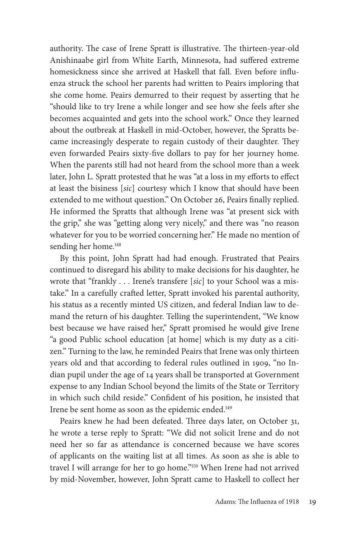authority. The case of Irene Spratt is illustrative. The thirteen-year-old Anishinaabe girl from White Earth, Minnesota, had suffered extreme homesickness since she arrived at Haskell that fall. Even before influenza struck the school her parents had written to Peairs imploring that she come home. Peairs demurred to their request by asserting that he "should like to try Irene a while longer and see how she feels after she becomes acquainted and gets into the school work." Once they learned about the outbreak at Haskell in mid- October, however, the Spratts became increasingly desperate to regain custody of their daughter. They even forwarded Peairs sixty-five dollars to pay for her journey home. When the parents still had not heard from the school more than a week later, John L. Spratt protested that he was "at a loss in my efforts to effect at least the bisiness [*sic*] courtesy which I know that should have been extended to me without question." On October 26, Peairs finally replied. He informed the Spratts that although Irene was "at present sick with the grip," she was "getting along very nicely," and there was "no reason whatever for you to be worried concerning her." He made no mention of sending her home.<sup>148</sup>

By this point, John Spratt had had enough. Frustrated that Peairs continued to disregard his ability to make decisions for his daughter, he wrote that "frankly . . . Irene's transfere [*sic*] to your School was a mistake." In a carefully crafted letter, Spratt invoked his parental authority, his status as a recently minted US citizen, and federal Indian law to demand the return of his daughter. Telling the superintendent, "We know best because we have raised her," Spratt promised he would give Irene "a good Public school education [at home] which is my duty as a citizen." Turning to the law, he reminded Peairs that Irene was only thirteen years old and that according to federal rules outlined in 1909, "no Indian pupil under the age of 14 years shall be transported at Government expense to any Indian School beyond the limits of the State or Territory in which such child reside." Confident of his position, he insisted that Irene be sent home as soon as the epidemic ended.149

Peairs knew he had been defeated. Three days later, on October 31, he wrote a terse reply to Spratt: "We did not solicit Irene and do not need her so far as attendance is concerned because we have scores of applicants on the waiting list at all times. As soon as she is able to travel I will arrange for her to go home."150 When Irene had not arrived by mid- November, however, John Spratt came to Haskell to collect her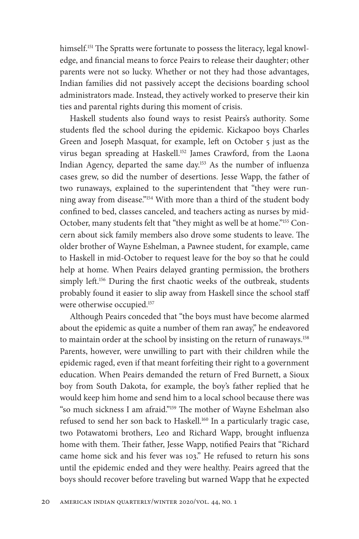himself.<sup>151</sup> The Spratts were fortunate to possess the literacy, legal knowledge, and financial means to force Peairs to release their daughter; other parents were not so lucky. Whether or not they had those advantages, Indian families did not passively accept the decisions boarding school administrators made. Instead, they actively worked to preserve their kin ties and parental rights during this moment of crisis.

Haskell students also found ways to resist Peairs's authority. Some students fled the school during the epidemic. Kickapoo boys Charles Green and Joseph Masquat, for example, left on October 5 just as the virus began spreading at Haskell.<sup>152</sup> James Crawford, from the Laona Indian Agency, departed the same day.<sup>153</sup> As the number of influenza cases grew, so did the number of desertions. Jesse Wapp, the father of two runaways, explained to the superintendent that "they were running away from disease."154 With more than a third of the student body confined to bed, classes canceled, and teachers acting as nurses by mid-October, many students felt that "they might as well be at home."155 Concern about sick family members also drove some students to leave. The older brother of Wayne Eshelman, a Pawnee student, for example, came to Haskell in mid- October to request leave for the boy so that he could help at home. When Peairs delayed granting permission, the brothers simply left.<sup>156</sup> During the first chaotic weeks of the outbreak, students probably found it easier to slip away from Haskell since the school staff were otherwise occupied.<sup>157</sup>

Although Peairs conceded that "the boys must have become alarmed about the epidemic as quite a number of them ran away," he endeavored to maintain order at the school by insisting on the return of runaways.<sup>158</sup> Parents, however, were unwilling to part with their children while the epidemic raged, even if that meant forfeiting their right to a government education. When Peairs demanded the return of Fred Burnett, a Sioux boy from South Dakota, for example, the boy's father replied that he would keep him home and send him to a local school because there was "so much sickness I am afraid."<sup>159</sup> The mother of Wayne Eshelman also refused to send her son back to Haskell.<sup>160</sup> In a particularly tragic case, two Potawatomi brothers, Leo and Richard Wapp, brought influenza home with them. Their father, Jesse Wapp, notified Peairs that "Richard came home sick and his fever was 103." He refused to return his sons until the epidemic ended and they were healthy. Peairs agreed that the boys should recover before traveling but warned Wapp that he expected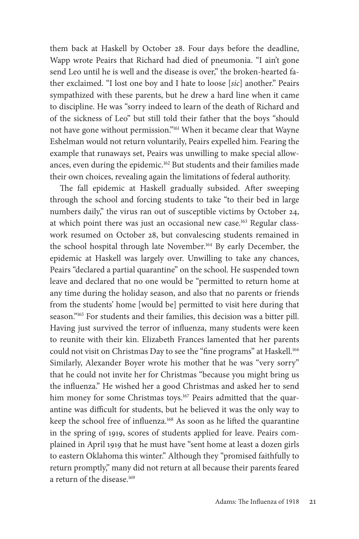them back at Haskell by October 28. Four days before the deadline, Wapp wrote Peairs that Richard had died of pneumonia. "I ain't gone send Leo until he is well and the disease is over," the broken- hearted father exclaimed. "I lost one boy and I hate to loose [*sic*] another." Peairs sympathized with these parents, but he drew a hard line when it came to discipline. He was "sorry indeed to learn of the death of Richard and of the sickness of Leo" but still told their father that the boys "should not have gone without permission."161 When it became clear that Wayne Eshelman would not return voluntarily, Peairs expelled him. Fearing the example that runaways set, Peairs was unwilling to make special allowances, even during the epidemic.162 But students and their families made their own choices, revealing again the limitations of federal authority.

The fall epidemic at Haskell gradually subsided. After sweeping through the school and forcing students to take "to their bed in large numbers daily," the virus ran out of susceptible victims by October 24, at which point there was just an occasional new case.163 Regular classwork resumed on October 28, but convalescing students remained in the school hospital through late November.<sup>164</sup> By early December, the epidemic at Haskell was largely over. Unwilling to take any chances, Peairs "declared a partial quarantine" on the school. He suspended town leave and declared that no one would be "permitted to return home at any time during the holiday season, and also that no parents or friends from the students' home [would be] permitted to visit here during that season."165 For students and their families, this decision was a bitter pill. Having just survived the terror of influenza, many students were keen to reunite with their kin. Elizabeth Frances lamented that her parents could not visit on Christmas Day to see the "fine programs" at Haskell.<sup>166</sup> Similarly, Alexander Boyer wrote his mother that he was "very sorry" that he could not invite her for Christmas "because you might bring us the influenza." He wished her a good Christmas and asked her to send him money for some Christmas toys.<sup>167</sup> Peairs admitted that the quarantine was difficult for students, but he believed it was the only way to keep the school free of influenza.<sup>168</sup> As soon as he lifted the quarantine in the spring of 1919, scores of students applied for leave. Peairs complained in April 1919 that he must have "sent home at least a dozen girls to eastern Oklahoma this winter." Although they "promised faithfully to return promptly," many did not return at all because their parents feared a return of the disease.<sup>169</sup>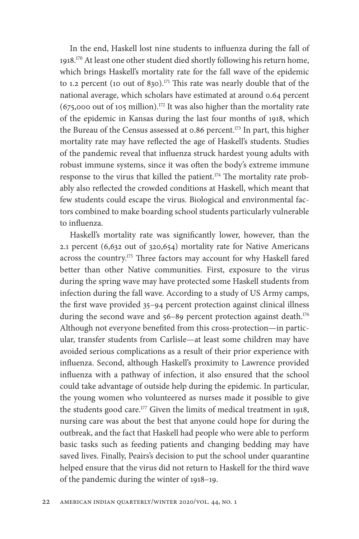In the end, Haskell lost nine students to influenza during the fall of 1918.<sup>170</sup> At least one other student died shortly following his return home, which brings Haskell's mortality rate for the fall wave of the epidemic to 1.2 percent (10 out of 830).<sup>171</sup> This rate was nearly double that of the national average, which scholars have estimated at around 0.64 percent  $(675,000$  out of 105 million).<sup>172</sup> It was also higher than the mortality rate of the epidemic in Kansas during the last four months of 1918, which the Bureau of the Census assessed at 0.86 percent.<sup>173</sup> In part, this higher mortality rate may have reflected the age of Haskell's students. Studies of the pandemic reveal that influenza struck hardest young adults with robust immune systems, since it was often the body's extreme immune response to the virus that killed the patient.<sup>174</sup> The mortality rate probably also reflected the crowded conditions at Haskell, which meant that few students could escape the virus. Biological and environmental factors combined to make boarding school students particularly vulnerable to influenza.

Haskell's mortality rate was significantly lower, however, than the 2.1 percent (6,632 out of 320,654) mortality rate for Native Americans across the country.<sup>175</sup> Three factors may account for why Haskell fared better than other Native communities. First, exposure to the virus during the spring wave may have protected some Haskell students from infection during the fall wave. According to a study of US Army camps, the first wave provided 35-94 percent protection against clinical illness during the second wave and 56-89 percent protection against death.<sup>176</sup> Although not everyone benefited from this cross-protection—in particular, transfer students from Carlisle— at least some children may have avoided serious complications as a result of their prior experience with influenza. Second, although Haskell's proximity to Lawrence provided influenza with a pathway of infection, it also ensured that the school could take advantage of outside help during the epidemic. In particular, the young women who volunteered as nurses made it possible to give the students good care.<sup>177</sup> Given the limits of medical treatment in 1918, nursing care was about the best that anyone could hope for during the outbreak, and the fact that Haskell had people who were able to perform basic tasks such as feeding patients and changing bedding may have saved lives. Finally, Peairs's decision to put the school under quarantine helped ensure that the virus did not return to Haskell for the third wave of the pandemic during the winter of 1918– 19.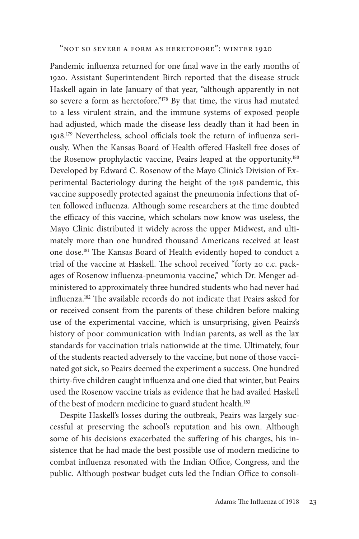"Not So Severe a Form as Heretofore": Winter 1920

Pandemic influenza returned for one final wave in the early months of 1920. Assistant Superintendent Birch reported that the disease struck Haskell again in late January of that year, "although apparently in not so severe a form as heretofore."178 By that time, the virus had mutated to a less virulent strain, and the immune systems of exposed people had adjusted, which made the disease less deadly than it had been in 1918.<sup>179</sup> Nevertheless, school officials took the return of influenza seriously. When the Kansas Board of Health offered Haskell free doses of the Rosenow prophylactic vaccine, Peairs leaped at the opportunity.<sup>180</sup> Developed by Edward C. Rosenow of the Mayo Clinic's Division of Experimental Bacteriology during the height of the 1918 pandemic, this vaccine supposedly protected against the pneumonia infections that often followed influenza. Although some researchers at the time doubted the efficacy of this vaccine, which scholars now know was useless, the Mayo Clinic distributed it widely across the upper Midwest, and ultimately more than one hundred thousand Americans received at least one dose.<sup>181</sup> The Kansas Board of Health evidently hoped to conduct a trial of the vaccine at Haskell. The school received "forty 20 c.c. packages of Rosenow influenza-pneumonia vaccine," which Dr. Menger administered to approximately three hundred students who had never had influenza.<sup>182</sup> The available records do not indicate that Peairs asked for or received consent from the parents of these children before making use of the experimental vaccine, which is unsurprising, given Peairs's history of poor communication with Indian parents, as well as the lax standards for vaccination trials nationwide at the time. Ultimately, four of the students reacted adversely to the vaccine, but none of those vaccinated got sick, so Peairs deemed the experiment a success. One hundred thirty-five children caught influenza and one died that winter, but Peairs used the Rosenow vaccine trials as evidence that he had availed Haskell of the best of modern medicine to guard student health.<sup>183</sup>

Despite Haskell's losses during the outbreak, Peairs was largely successful at preserving the school's reputation and his own. Although some of his decisions exacerbated the suffering of his charges, his insistence that he had made the best possible use of modern medicine to combat influenza resonated with the Indian Office, Congress, and the public. Although postwar budget cuts led the Indian Office to consoli-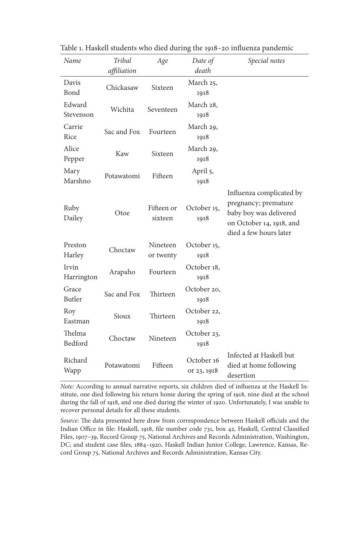| Name                | Tribal      | Age                   | Date of                   | Special notes                                                                                                                    |
|---------------------|-------------|-----------------------|---------------------------|----------------------------------------------------------------------------------------------------------------------------------|
|                     | affiliation |                       | death                     |                                                                                                                                  |
| Davis<br>Bond       | Chickasaw   | Sixteen               | March 25,<br>1918         |                                                                                                                                  |
| Edward<br>Stevenson | Wichita     | Seventeen             | March 28,<br>1918         |                                                                                                                                  |
| Carrie<br>Rice      | Sac and Fox | Fourteen              | March 29,<br>1918         |                                                                                                                                  |
| Alice<br>Pepper     | Kaw         | Sixteen               | March 29,<br>1918         |                                                                                                                                  |
| Mary<br>Marshno     | Potawatomi  | Fifteen               | April 5,<br>1918          |                                                                                                                                  |
| Ruby<br>Dailey      | Otoe        | Fifteen or<br>sixteen | October 15,<br>1918       | Influenza complicated by<br>pregnancy; premature<br>baby boy was delivered<br>on October 14, 1918, and<br>died a few hours later |
| Preston<br>Harley   | Choctaw     | Nineteen<br>or twenty | October 15,<br>1918       |                                                                                                                                  |
| Irvin<br>Harrington | Arapaho     | Fourteen              | October 18,<br>1918       |                                                                                                                                  |
| Grace<br>Butler     | Sac and Fox | Thirteen              | October 20,<br>1918       |                                                                                                                                  |
| Roy<br>Eastman      | Sioux       | Thirteen              | October 22.<br>1918       |                                                                                                                                  |
| Thelma<br>Bedford   | Choctaw     | Nineteen              | October 23,<br>1918       |                                                                                                                                  |
| Richard<br>Wapp     | Potawatomi  | Fifteen               | October 16<br>or 23, 1918 | Infected at Haskell but<br>died at home following<br>desertion                                                                   |

Table 1. Haskell students who died during the 1918–20 influenza pandemic

*Note:* According to annual narrative reports, six children died of influenza at the Haskell Institute, one died following his return home during the spring of 1918, nine died at the school during the fall of 1918, and one died during the winter of 1920. Unfortunately, I was unable to recover personal details for all these students.

Source: The data presented here draw from correspondence between Haskell officials and the Indian Office in file: Haskell, 1918, file number code 731, box 42, Haskell, Central Classified Files, 1907-39, Record Group 75, National Archives and Records Administration, Washington, DC; and student case files, 1884-1920, Haskell Indian Junior College, Lawrence, Kansas, Record Group 75, National Archives and Records Administration, Kansas City.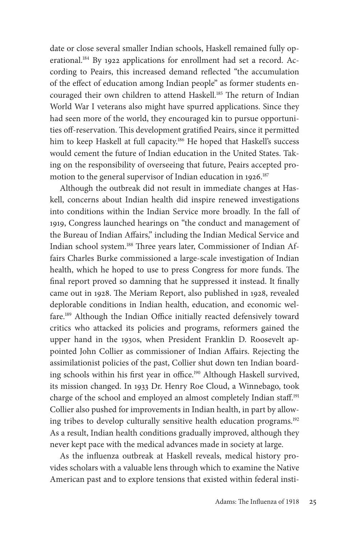date or close several smaller Indian schools, Haskell remained fully operational.<sup>184</sup> By 1922 applications for enrollment had set a record. According to Peairs, this increased demand reflected "the accumulation of the effect of education among Indian people" as former students encouraged their own children to attend Haskell.<sup>185</sup> The return of Indian World War I veterans also might have spurred applications. Since they had seen more of the world, they encouraged kin to pursue opportunities off-reservation. This development gratified Peairs, since it permitted him to keep Haskell at full capacity.<sup>186</sup> He hoped that Haskell's success would cement the future of Indian education in the United States. Taking on the responsibility of overseeing that future, Peairs accepted promotion to the general supervisor of Indian education in 1926.187

Although the outbreak did not result in immediate changes at Haskell, concerns about Indian health did inspire renewed investigations into conditions within the Indian Service more broadly. In the fall of 1919, Congress launched hearings on "the conduct and management of the Bureau of Indian Affairs," including the Indian Medical Service and Indian school system.<sup>188</sup> Three years later, Commissioner of Indian Affairs Charles Burke commissioned a large- scale investigation of Indian health, which he hoped to use to press Congress for more funds. The final report proved so damning that he suppressed it instead. It finally came out in 1928. The Meriam Report, also published in 1928, revealed deplorable conditions in Indian health, education, and economic welfare.<sup>189</sup> Although the Indian Office initially reacted defensively toward critics who attacked its policies and programs, reformers gained the upper hand in the 1930s, when President Franklin D. Roosevelt appointed John Collier as commissioner of Indian Affairs. Rejecting the assimilationist policies of the past, Collier shut down ten Indian boarding schools within his first year in office.<sup>190</sup> Although Haskell survived, its mission changed. In 1933 Dr. Henry Roe Cloud, a Winnebago, took charge of the school and employed an almost completely Indian staff.<sup>191</sup> Collier also pushed for improvements in Indian health, in part by allowing tribes to develop culturally sensitive health education programs.192 As a result, Indian health conditions gradually improved, although they never kept pace with the medical advances made in society at large.

As the influenza outbreak at Haskell reveals, medical history provides scholars with a valuable lens through which to examine the Native American past and to explore tensions that existed within federal insti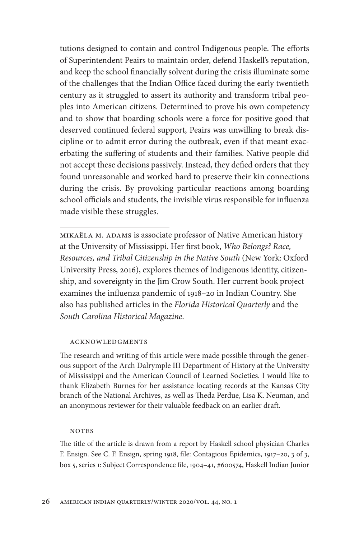tutions designed to contain and control Indigenous people. The efforts of Superintendent Peairs to maintain order, defend Haskell's reputation, and keep the school financially solvent during the crisis illuminate some of the challenges that the Indian Office faced during the early twentieth century as it struggled to assert its authority and transform tribal peoples into American citizens. Determined to prove his own competency and to show that boarding schools were a force for positive good that deserved continued federal support, Peairs was unwilling to break discipline or to admit error during the outbreak, even if that meant exacerbating the suffering of students and their families. Native people did not accept these decisions passively. Instead, they defied orders that they found unreasonable and worked hard to preserve their kin connections during the crisis. By provoking particular reactions among boarding school officials and students, the invisible virus responsible for influenza made visible these struggles.

Mikaëla M. Adams is associate professor of Native American history at the University of Mississippi. Her first book, *Who Belongs? Race*, *Resources, and Tribal Citizenship in the Native South* (New York: Oxford University Press, 2016), explores themes of Indigenous identity, citizenship, and sovereignty in the Jim Crow South. Her current book project examines the influenza pandemic of 1918–20 in Indian Country. She also has published articles in the *Florida Historical Quarterly* and the *South Carolina Historical Magazine*.

## **ACKNOWLEDGMENTS**

The research and writing of this article were made possible through the generous support of the Arch Dalrymple III Department of History at the University of Mississippi and the American Council of Learned Societies. I would like to thank Elizabeth Burnes for her assistance locating records at the Kansas City branch of the National Archives, as well as Theda Perdue, Lisa K. Neuman, and an anonymous reviewer for their valuable feedback on an earlier draft.

## **NOTES**

The title of the article is drawn from a report by Haskell school physician Charles F. Ensign. See C. F. Ensign, spring 1918, file: Contagious Epidemics, 1917-20, 3 of 3, box 5, series 1: Subject Correspondence file, 1904–41, #600574, Haskell Indian Junior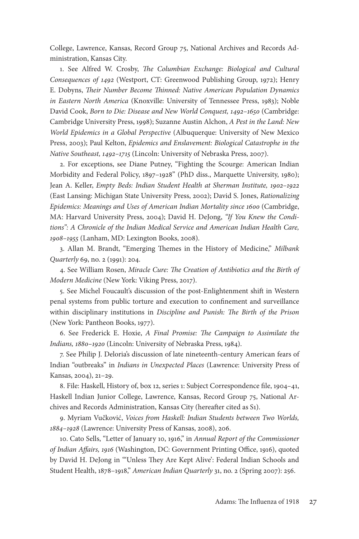College, Lawrence, Kansas, Record Group 75, National Archives and Records Administration, Kansas City.

1. See Alfred W. Crosby, *The Columbian Exchange: Biological and Cultural Consequences of 1492* (Westport, CT: Greenwood Publishing Group, 1972); Henry E. Dobyns, *Their Number Become Thinned: Native American Population Dynamics in Eastern North America* (Knoxville: University of Tennessee Press, 1983); Noble David Cook, *Born to Die: Disease and New World Conquest, 1492– 1650* (Cambridge: Cambridge University Press, 1998); Suzanne Austin Alchon, *A Pest in the Land: New World Epidemics in a Global Perspective* (Albuquerque: University of New Mexico Press, 2003); Paul Kelton, *Epidemics and Enslavement: Biological Catastrophe in the Native Southeast, 1492– 1715* (Lincoln: University of Nebraska Press, 2007).

2. For exceptions, see Diane Putney, "Fighting the Scourge: American Indian Morbidity and Federal Policy, 1897– 1928" (PhD diss., Marquette University, 1980); Jean A. Keller, *Empty Beds: Indian Student Health at Sherman Institute, 1902– 1922* (East Lansing: Michigan State University Press, 2002); David S. Jones, *Rationalizing Epidemics: Meanings and Uses of American Indian Mortality since 1600* (Cambridge, MA: Harvard University Press, 2004); David H. DeJong, *"If You Knew the Conditions": A Chronicle of the Indian Medical Service and American Indian Health Care, 1908– 1955* (Lanham, MD: Lexington Books, 2008).

3. Allan M. Brandt, "Emerging Themes in the History of Medicine," Milbank *Quarterly* 69, no. 2 (1991): 204.

4. See William Rosen, *Miracle Cure: The Creation of Antibiotics and the Birth of Modern Medicine* (New York: Viking Press, 2017).

5. See Michel Foucault's discussion of the post- Enlightenment shift in Western penal systems from public torture and execution to confinement and surveillance within disciplinary institutions in *Discipline and Punish: The Birth of the Prison* (New York: Pantheon Books, 1977).

6. See Frederick E. Hoxie, *A Final Promise: The Campaign to Assimilate the Indians, 1880– 1920* (Lincoln: University of Nebraska Press, 1984).

7. See Philip J. Deloria's discussion of late nineteenth- century American fears of Indian "outbreaks" in *Indians in Unexpected Places* (Lawrence: University Press of Kansas, 2004), 21-29.

8. File: Haskell, History of, box 12, series 1: Subject Correspondence file, 1904-41, Haskell Indian Junior College, Lawrence, Kansas, Record Group 75, National Archives and Records Administration, Kansas City (hereafter cited as S1).

9. Myriam Vučković, *Voices from Haskell: Indian Students between Two Worlds, 1884– 1928* (Lawrence: University Press of Kansas, 2008), 206.

10. Cato Sells, "Letter of January 10, 1916," in *Annual Report of the Commissioner*  of Indian Affairs, 1916 (Washington, DC: Government Printing Office, 1916), quoted by David H. DeJong in "'Unless They Are Kept Alive': Federal Indian Schools and Student Health, 1878– 1918," *American Indian Quarterly* 31, no. 2 (Spring 2007): 256.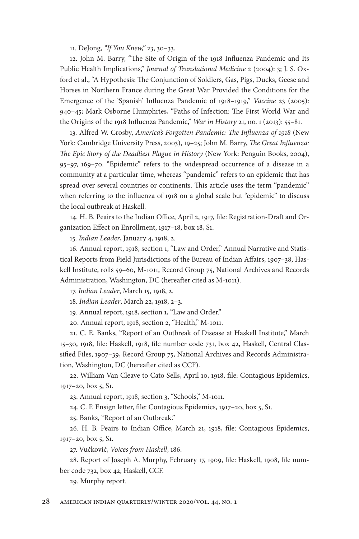11. DeJong, "If You Knew," 23, 30-33.

12. John M. Barry, "The Site of Origin of the 1918 Influenza Pandemic and Its Public Health Implications," *Journal of Translational Medicine* 2 (2004): 3; J. S. Oxford et al., "A Hypothesis: The Conjunction of Soldiers, Gas, Pigs, Ducks, Geese and Horses in Northern France during the Great War Provided the Conditions for the Emergence of the 'Spanish' Influenza Pandemic of 1918-1919," *Vaccine* 23 (2005): 940-45; Mark Osborne Humphries, "Paths of Infection: The First World War and the Origins of the 1918 Influenza Pandemic," *War in History* 21, no. 1 (2013): 55–81.

13. Alfred W. Crosby, America's Forgotten Pandemic: The Influenza of 1918 (New York: Cambridge University Press, 2003), 19-25; John M. Barry, *The Great Influenza: The Epic Story of the Deadliest Plague in History* (New York: Penguin Books, 2004), 95–97, 169–70. "Epidemic" refers to the widespread occurrence of a disease in a community at a particular time, whereas "pandemic" refers to an epidemic that has spread over several countries or continents. This article uses the term "pandemic" when referring to the influenza of 1918 on a global scale but "epidemic" to discuss the local outbreak at Haskell.

14. H. B. Peairs to the Indian Office, April 2, 1917, file: Registration-Draft and Organization Effect on Enrollment, 1917–18, box 18, S1.

15. *Indian Leader*, January 4, 1918, 2.

16. Annual report, 1918, section 1, "Law and Order," Annual Narrative and Statistical Reports from Field Jurisdictions of the Bureau of Indian Affairs, 1907-38, Haskell Institute, rolls 59–60, M-1011, Record Group 75, National Archives and Records Administration, Washington, DC (hereafter cited as M-1011).

17. *Indian Leader*, March 15, 1918, 2.

18. *Indian Leader*, March 22, 1918, 2-3.

19. Annual report, 1918, section 1, "Law and Order."

20. Annual report, 1918, section 2, "Health," M- 1011.

21. C. E. Banks, "Report of an Outbreak of Disease at Haskell Institute," March 15-30, 1918, file: Haskell, 1918, file number code 731, box 42, Haskell, Central Classified Files, 1907–39, Record Group 75, National Archives and Records Administration, Washington, DC (hereafter cited as CCF).

22. William Van Cleave to Cato Sells, April 10, 1918, file: Contagious Epidemics, 1917–20, box 5, S1.

23. Annual report, 1918, section 3, "Schools," M- 1011.

24. C. F. Ensign letter, file: Contagious Epidemics, 1917–20, box 5, S1.

25. Banks, "Report of an Outbreak."

26. H. B. Peairs to Indian Office, March 21, 1918, file: Contagious Epidemics, 1917–20, box 5, S1.

27. Vučković, *Voices from Haskell*, 186.

28. Report of Joseph A. Murphy, February 17, 1909, file: Haskell, 1908, file number code 732, box 42, Haskell, CCF.

29. Murphy report.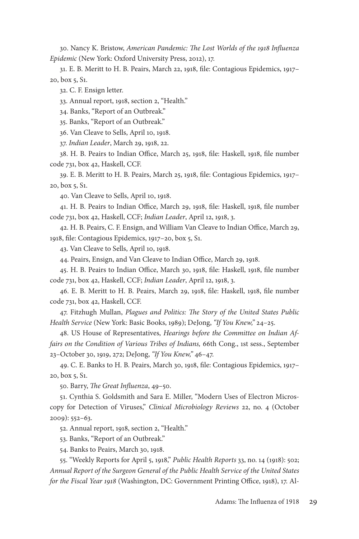30. Nancy K. Bristow, *American Pandemic: The Lost Worlds of the 1918 Influenza Epidemic* (New York: Oxford University Press, 2012), 17.

31. E. B. Meritt to H. B. Peairs, March 22, 1918, file: Contagious Epidemics, 1917– 20, box 5, S1.

32. C. F. Ensign letter.

33. Annual report, 1918, section 2, "Health."

34. Banks, "Report of an Outbreak."

35. Banks, "Report of an Outbreak."

36. Van Cleave to Sells, April 10, 1918.

37. *Indian Leader*, March 29, 1918, 22.

38. H. B. Peairs to Indian Office, March 25, 1918, file: Haskell, 1918, file number code 731, box 42, Haskell, CCF.

39. E. B. Meritt to H. B. Peairs, March 25, 1918, file: Contagious Epidemics, 1917– 20, box 5, S1.

40. Van Cleave to Sells, April 10, 1918.

41. H. B. Peairs to Indian Office, March 29, 1918, file: Haskell, 1918, file number code 731, box 42, Haskell, CCF; *Indian Leader*, April 12, 1918, 3.

42. H. B. Peairs, C. F. Ensign, and William Van Cleave to Indian Office, March 29, 1918, file: Contagious Epidemics, 1917-20, box 5, S1.

43. Van Cleave to Sells, April 10, 1918.

44. Peairs, Ensign, and Van Cleave to Indian Office, March 29, 1918.

45. H. B. Peairs to Indian Office, March 30, 1918, file: Haskell, 1918, file number code 731, box 42, Haskell, CCF; *Indian Leader*, April 12, 1918, 3.

46. E. B. Meritt to H. B. Peairs, March 29, 1918, file: Haskell, 1918, file number code 731, box 42, Haskell, CCF.

47. Fitzhugh Mullan, *Plagues and Politics: The Story of the United States Public Health Service* (New York: Basic Books, 1989); DeJong, *"If You Knew,"* 24– 25.

48. US House of Representatives, *Hearings before the Committee on Indian Affairs on the Condition of Various Tribes of Indians,* 66th Cong., 1st sess., September 23– October 30, 1919, 272; DeJong, *"If You Knew,"* 46– 47.

49. C. E. Banks to H. B. Peairs, March 30, 1918, file: Contagious Epidemics, 1917-20, box 5, S1.

50. Barry, *The Great Influenza*, 49-50.

51. Cynthia S. Goldsmith and Sara E. Miller, "Modern Uses of Electron Microscopy for Detection of Viruses," *Clinical Microbiology Reviews* 22, no. 4 (October  $2009$ :  $552-63$ .

52. Annual report, 1918, section 2, "Health."

53. Banks, "Report of an Outbreak."

54. Banks to Peairs, March 30, 1918.

55. "Weekly Reports for April 5, 1918," *Public Health Reports* 33, no. 14 (1918): 502; *Annual Report of the Surgeon General of the Public Health Service of the United States for the Fiscal Year 1918* (Washington, DC: Government Printing Office, 1918), 17. Al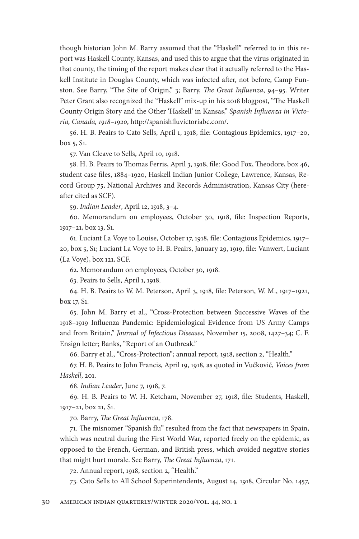though historian John M. Barry assumed that the "Haskell" referred to in this report was Haskell County, Kansas, and used this to argue that the virus originated in that county, the timing of the report makes clear that it actually referred to the Haskell Institute in Douglas County, which was infected after, not before, Camp Funston. See Barry, "The Site of Origin," 3; Barry, *The Great Influenza*, 94-95. Writer Peter Grant also recognized the "Haskell" mix-up in his 2018 blogpost, "The Haskell County Origin Story and the Other 'Haskell' in Kansas," Spanish Influenza in Victoria, Canada, 1918-1920, http://spanishfluvictoriabc.com/.

56. H. B. Peairs to Cato Sells, April 1, 1918, file: Contagious Epidemics, 1917–20, box 5, S1.

57. Van Cleave to Sells, April 10, 1918.

58. H. B. Peairs to Thomas Ferris, April 3, 1918, file: Good Fox, Theodore, box 46, student case files, 1884–1920, Haskell Indian Junior College, Lawrence, Kansas, Record Group 75, National Archives and Records Administration, Kansas City (hereafter cited as SCF).

59. *Indian Leader*, April 12, 1918, 3– 4.

60. Memorandum on employees, October 30, 1918, file: Inspection Reports, 1917– 21, box 13, S1.

61. Luciant La Voye to Louise, October 17, 1918, file: Contagious Epidemics, 1917– 20, box 5, S1; Luciant La Voye to H. B. Peairs, January 29, 1919, file: Vanwert, Luciant (La Voye), box 121, SCF.

62. Memorandum on employees, October 30, 1918.

63. Peairs to Sells, April 1, 1918.

64. H. B. Peairs to W. M. Peterson, April 3, 1918, file: Peterson, W. M., 1917-1921, box 17, S1.

65. John M. Barry et al., "Cross- Protection between Successive Waves of the 1918–1919 Influenza Pandemic: Epidemiological Evidence from US Army Camps and from Britain," *Journal of Infectious Diseases*, November 15, 2008, 1427-34; C. F. Ensign letter; Banks, "Report of an Outbreak."

66. Barry et al., "Cross- Protection"; annual report, 1918, section 2, "Health."

67. H. B. Peairs to John Francis, April 19, 1918, as quoted in Vučković, *Voices from Haskell*, 201.

68. *Indian Leader*, June 7, 1918, 7.

69. H. B. Peairs to W. H. Ketcham, November 27, 1918, file: Students, Haskell, 1917–21, box 21, S1.

70. Barry, *The Great Influenza*, 178.

71. The misnomer "Spanish flu" resulted from the fact that newspapers in Spain, which was neutral during the First World War, reported freely on the epidemic, as opposed to the French, German, and British press, which avoided negative stories that might hurt morale. See Barry, *The Great Influenza*, 171.

72. Annual report, 1918, section 2, "Health."

73. Cato Sells to All School Superintendents, August 14, 1918, Circular No. 1457,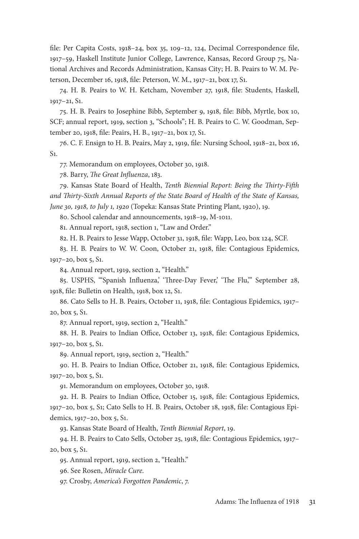file: Per Capita Costs, 1918–24, box 35, 109–12, 124, Decimal Correspondence file, 1917– 59, Haskell Institute Junior College, Lawrence, Kansas, Record Group 75, National Archives and Records Administration, Kansas City; H. B. Peairs to W. M. Peterson, December 16, 1918, file: Peterson, W. M., 1917–21, box 17, S1.

74. H. B. Peairs to W. H. Ketcham, November 27, 1918, file: Students, Haskell,  $1917 - 21, S1$ .

75. H. B. Peairs to Josephine Bibb, September 9, 1918, file: Bibb, Myrtle, box 10, SCF; annual report, 1919, section 3, "Schools"; H. B. Peairs to C. W. Goodman, September 20, 1918, file: Peairs, H. B., 1917-21, box 17, S1.

76. C. F. Ensign to H. B. Peairs, May 2, 1919, file: Nursing School, 1918–21, box 16,  $S<sub>1</sub>$ .

77. Memorandum on employees, October 30, 1918.

78. Barry, *The Great Influenza*, 183.

79. Kansas State Board of Health, *Tenth Biennial Report: Being the Thirty-Fifth* and Thirty-Sixth Annual Reports of the State Board of Health of the State of Kansas, *June 30, 1918, to July 1, 1920* (Topeka: Kansas State Printing Plant, 1920), 19.

80. School calendar and announcements, 1918-19, M-1011.

81. Annual report, 1918, section 1, "Law and Order."

82. H. B. Peairs to Jesse Wapp, October 31, 1918, file: Wapp, Leo, box 124, SCF.

83. H. B. Peairs to W. W. Coon, October 21, 1918, file: Contagious Epidemics, 1917–20, box 5, S1.

84. Annual report, 1919, section 2, "Health."

85. USPHS, "'Spanish Influenza, 'Three-Day Fever, 'The Flu,"' September 28, 1918, file: Bulletin on Health, 1918, box 12, S1.

86. Cato Sells to H. B. Peairs, October 11, 1918, file: Contagious Epidemics, 1917– 20, box 5, S1.

87. Annual report, 1919, section 2, "Health."

88. H. B. Peairs to Indian Office, October 13, 1918, file: Contagious Epidemics, 1917–20, box 5, S1.

89. Annual report, 1919, section 2, "Health."

90. H. B. Peairs to Indian Office, October 21, 1918, file: Contagious Epidemics, 1917–20, box 5, S1.

91. Memorandum on employees, October 30, 1918.

92. H. B. Peairs to Indian Office, October 15, 1918, file: Contagious Epidemics, 1917–20, box 5, S1; Cato Sells to H. B. Peairs, October 18, 1918, file: Contagious Epidemics, 1917–20, box 5, S1.

93. Kansas State Board of Health, *Tenth Biennial Report*, 19.

94. H. B. Peairs to Cato Sells, October 25, 1918, file: Contagious Epidemics, 1917– 20, box 5, S1.

95. Annual report, 1919, section 2, "Health."

96. See Rosen, *Miracle Cure*.

97. Crosby, *America's Forgotten Pandemic*, 7.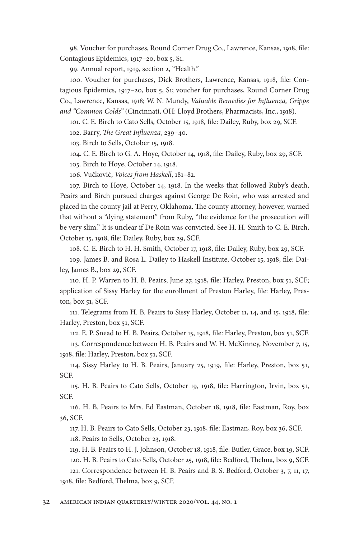98. Voucher for purchases, Round Corner Drug Co., Lawrence, Kansas, 1918, file: Contagious Epidemics, 1917-20, box 5, S1.

99. Annual report, 1919, section 2, "Health."

100. Voucher for purchases, Dick Brothers, Lawrence, Kansas, 1918, file: Contagious Epidemics, 1917-20, box 5, S1; voucher for purchases, Round Corner Drug Co., Lawrence, Kansas, 1918; W. N. Mundy, *Valuable Remedies for Infl uenza, Grippe and "Common Colds"* (Cincinnati, OH: Lloyd Brothers, Pharmacists, Inc., 1918).

101. C. E. Birch to Cato Sells, October 15, 1918, file: Dailey, Ruby, box 29, SCF.

102. Barry, *The Great Influenza*, 239-40.

103. Birch to Sells, October 15, 1918.

104. C. E. Birch to G. A. Hoye, October 14, 1918, file: Dailey, Ruby, box 29, SCF.

105. Birch to Hoye, October 14, 1918.

106. Vučković, *Voices from Haskell*, 181– 82.

107. Birch to Hoye, October 14, 1918. In the weeks that followed Ruby's death, Peairs and Birch pursued charges against George De Roin, who was arrested and placed in the county jail at Perry, Oklahoma. The county attorney, however, warned that without a "dying statement" from Ruby, "the evidence for the prosecution will be very slim." It is unclear if De Roin was convicted. See H. H. Smith to C. E. Birch, October 15, 1918, file: Dailey, Ruby, box 29, SCF.

108. C. E. Birch to H. H. Smith, October 17, 1918, file: Dailey, Ruby, box 29, SCF.

109. James B. and Rosa L. Dailey to Haskell Institute, October 15, 1918, file: Dailey, James B., box 29, SCF.

110. H. P. Warren to H. B. Peairs, June 27, 1918, file: Harley, Preston, box 51, SCF; application of Sissy Harley for the enrollment of Preston Harley, file: Harley, Preston, box 51, SCF.

111. Telegrams from H. B. Peairs to Sissy Harley, October 11, 14, and 15, 1918, file: Harley, Preston, box 51, SCF.

112. E. P. Snead to H. B. Peairs, October 15, 1918, file: Harley, Preston, box 51, SCF.

113. Correspondence between H. B. Peairs and W. H. McKinney, November 7, 15, 1918, file: Harley, Preston, box 51, SCF.

114. Sissy Harley to H. B. Peairs, January 25, 1919, file: Harley, Preston, box 51, SCF.

115. H. B. Peairs to Cato Sells, October 19, 1918, file: Harrington, Irvin, box 51, SCF.

116. H. B. Peairs to Mrs. Ed Eastman, October 18, 1918, file: Eastman, Roy, box 36, SCF.

117. H. B. Peairs to Cato Sells, October 23, 1918, file: Eastman, Roy, box 36, SCF. 118. Peairs to Sells, October 23, 1918.

119. H. B. Peairs to H. J. Johnson, October 18, 1918, file: Butler, Grace, box 19, SCF. 120. H. B. Peairs to Cato Sells, October 25, 1918, file: Bedford, Thelma, box 9, SCF. 121. Correspondence between H. B. Peairs and B. S. Bedford, October 3, 7, 11, 17,

1918, file: Bedford, Thelma, box 9, SCF.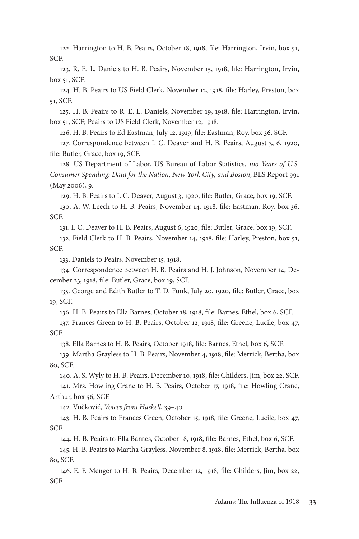122. Harrington to H. B. Peairs, October 18, 1918, file: Harrington, Irvin, box 51, SCF.

123. R. E. L. Daniels to H. B. Peairs, November 15, 1918, file: Harrington, Irvin, box 51, SCF.

124. H. B. Peairs to US Field Clerk, November 12, 1918, file: Harley, Preston, box 51, SCF.

125. H. B. Peairs to R. E. L. Daniels, November 19, 1918, file: Harrington, Irvin, box 51, SCF; Peairs to US Field Clerk, November 12, 1918.

126. H. B. Peairs to Ed Eastman, July 12, 1919, file: Eastman, Roy, box 36, SCF.

127. Correspondence between I. C. Deaver and H. B. Peairs, August 3, 6, 1920, file: Butler, Grace, box 19, SCF.

128. US Department of Labor, US Bureau of Labor Statistics, *100 Years of U.S. Consumer Spending: Data for the Nation, New York City, and Boston*, BLS Report 991 (May 2006), 9.

129. H. B. Peairs to I. C. Deaver, August 3, 1920, file: Butler, Grace, box 19, SCF.

130. A. W. Leech to H. B. Peairs, November 14, 1918, file: Eastman, Roy, box 36, SCF.

131. I. C. Deaver to H. B. Peairs, August 6, 1920, file: Butler, Grace, box 19, SCF.

132. Field Clerk to H. B. Peairs, November 14, 1918, file: Harley, Preston, box 51, SCF.

133. Daniels to Peairs, November 15, 1918.

134. Correspondence between H. B. Peairs and H. J. Johnson, November 14, December 23, 1918, file: Butler, Grace, box 19, SCF.

135. George and Edith Butler to T. D. Funk, July 20, 1920, file: Butler, Grace, box 19, SCF.

136. H. B. Peairs to Ella Barnes, October 18, 1918, file: Barnes, Ethel, box 6, SCF.

137. Frances Green to H. B. Peairs, October 12, 1918, file: Greene, Lucile, box 47, SCF.

138. Ella Barnes to H. B. Peairs, October 1918, file: Barnes, Ethel, box 6, SCF.

139. Martha Grayless to H. B. Peairs, November 4, 1918, file: Merrick, Bertha, box 80, SCF.

140. A. S. Wyly to H. B. Peairs, December 10, 1918, file: Childers, Jim, box 22, SCF. 141. Mrs. Howling Crane to H. B. Peairs, October 17, 1918, file: Howling Crane, Arthur, box 56, SCF.

142. Vučković, *Voices from Haskell*, 39-40.

143. H. B. Peairs to Frances Green, October 15, 1918, file: Greene, Lucile, box 47, SCF.

144. H. B. Peairs to Ella Barnes, October 18, 1918, file: Barnes, Ethel, box 6, SCF.

145. H. B. Peairs to Martha Grayless, November 8, 1918, file: Merrick, Bertha, box 80, SCF.

146. E. F. Menger to H. B. Peairs, December 12, 1918, file: Childers, Jim, box 22, SCF.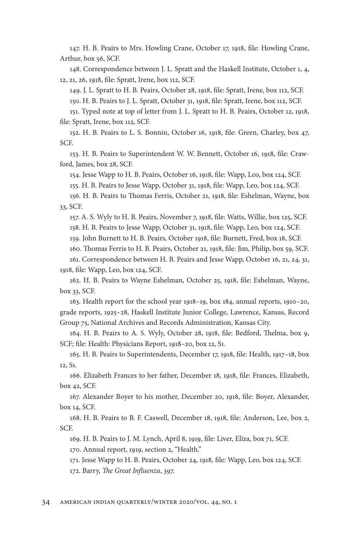147. H. B. Peairs to Mrs. Howling Crane, October 17, 1918, file: Howling Crane, Arthur, box 56, SCF.

148. Correspondence between J. L. Spratt and the Haskell Institute, October 1, 4, 12, 21, 26, 1918, file: Spratt, Irene, box 112, SCF.

149. J. L. Spratt to H. B. Peairs, October 28, 1918, file: Spratt, Irene, box 112, SCF.

150. H. B. Peairs to J. L. Spratt, October 31, 1918, file: Spratt, Irene, box 112, SCF.

151. Typed note at top of letter from J. L. Spratt to H. B. Peairs, October 12, 1918, file: Spratt, Irene, box 112, SCF.

152. H. B. Peairs to L. S. Bonnin, October 16, 1918, file: Green, Charley, box 47, SCF.

153. H. B. Peairs to Superintendent W. W. Bennett, October 16, 1918, file: Crawford, James, box 28, SCF.

154. Jesse Wapp to H. B. Peairs, October 16, 1918, file: Wapp, Leo, box 124, SCF.

155. H. B. Peairs to Jesse Wapp, October 31, 1918, file: Wapp, Leo, box 124, SCF.

156. H. B. Peairs to Thomas Ferris, October 21, 1918, file: Eshelman, Wayne, box 33, SCF.

157. A. S. Wyly to H. B. Peairs, November 7, 1918, file: Watts, Willie, box 125, SCF. 158. H. B. Peairs to Jesse Wapp, October 31, 1918, file: Wapp, Leo, box 124, SCF.

159. John Burnett to H. B. Peairs, October 1918, file: Burnett, Fred, box 18, SCF.

160. Thomas Ferris to H. B. Peairs, October 21, 1918, file: Jim, Philip, box 59, SCF.

161. Correspondence between H. B. Peairs and Jesse Wapp, October 16, 21, 24, 31, 1918, file: Wapp, Leo, box 124, SCF.

162. H. B. Peairs to Wayne Eshelman, October 25, 1918, file: Eshelman, Wayne, box 33, SCF.

163. Health report for the school year 1918– 19, box 184, annual reports, 1910– 20, grade reports, 1925– 28, Haskell Institute Junior College, Lawrence, Kansas, Record Group 75, National Archives and Records Administration, Kansas City.

164. H. B. Peairs to A. S. Wyly, October 28, 1918, file: Bedford, Thelma, box 9, SCF; file: Health: Physicians Report, 1918-20, box 12, S1.

165. H. B. Peairs to Superintendents, December 17, 1918, file: Health, 1917-18, box 12, S1.

166. Elizabeth Frances to her father, December 18, 1918, file: Frances, Elizabeth, box 42, SCF.

167. Alexander Boyer to his mother, December 20, 1918, file: Boyer, Alexander, box 14, SCF.

168. H. B. Peairs to B. F. Caswell, December 18, 1918, file: Anderson, Lee, box 2, SCF.

169. H. B. Peairs to J. M. Lynch, April 8, 1919, file: Liver, Eliza, box 71, SCF.

170. Annual report, 1919, section 2, "Health."

171. Jesse Wapp to H. B. Peairs, October 24, 1918, file: Wapp, Leo, box 124, SCF.

172. Barry, *The Great Influenza*, 397.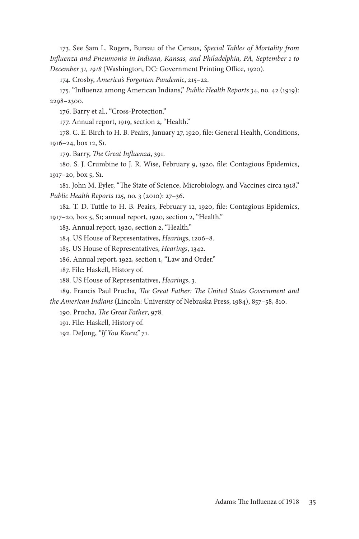173. See Sam L. Rogers, Bureau of the Census, *Special Tables of Mortality from Infl uenza and Pneumonia in Indiana, Kansas, and Philadelphia, PA, September 1 to December 31, 1918* (Washington, DC: Government Printing Office, 1920).

174. Crosby, *America's Forgotten Pandemic*, 215-22.

175. "Infl uenza among American Indians," *Public Health Reports* 34, no. 42 (1919): 2298– 2300.

176. Barry et al., "Cross- Protection."

177. Annual report, 1919, section 2, "Health."

178. C. E. Birch to H. B. Peairs, January 27, 1920, file: General Health, Conditions, 1916–24, box 12, S1.

179. Barry, *The Great Influenza*, 391.

180. S. J. Crumbine to J. R. Wise, February 9, 1920, file: Contagious Epidemics, 1917–20, box 5, S1.

181. John M. Eyler, "The State of Science, Microbiology, and Vaccines circa 1918," *Public Health Reports* 125, no. 3 (2010): 27-36.

182. T. D. Tuttle to H. B. Peairs, February 12, 1920, file: Contagious Epidemics, 1917– 20, box 5, S1; annual report, 1920, section 2, "Health."

183. Annual report, 1920, section 2, "Health."

184. US House of Representatives, *Hearings*, 1206– 8.

185. US House of Representatives, *Hearings*, 1342.

186. Annual report, 1922, section 1, "Law and Order."

187. File: Haskell, History of.

188. US House of Representatives, *Hearings*, 3.

189. Francis Paul Prucha, *The Great Father: The United States Government and the American Indians* (Lincoln: University of Nebraska Press, 1984), 857–58, 810.

190. Prucha, *The Great Father*, 978.

191. File: Haskell, History of.

192. DeJong, *"If You Knew,"* 71.